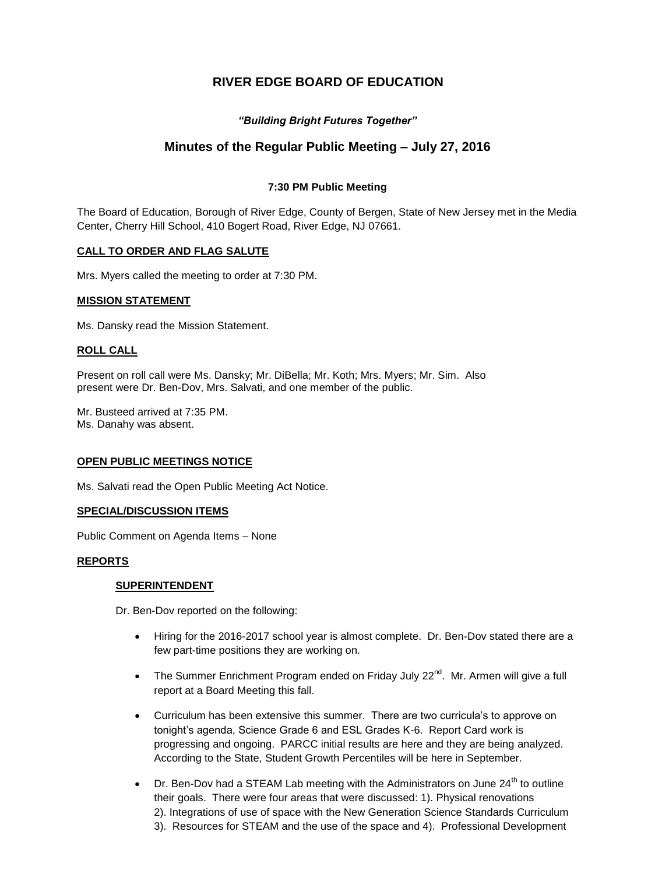# **RIVER EDGE BOARD OF EDUCATION**

# *"Building Bright Futures Together"*

# **Minutes of the Regular Public Meeting – July 27, 2016**

# **7:30 PM Public Meeting**

The Board of Education, Borough of River Edge, County of Bergen, State of New Jersey met in the Media Center, Cherry Hill School, 410 Bogert Road, River Edge, NJ 07661.

# **CALL TO ORDER AND FLAG SALUTE**

Mrs. Myers called the meeting to order at 7:30 PM.

## **MISSION STATEMENT**

Ms. Dansky read the Mission Statement.

## **ROLL CALL**

Present on roll call were Ms. Dansky; Mr. DiBella; Mr. Koth; Mrs. Myers; Mr. Sim. Also present were Dr. Ben-Dov, Mrs. Salvati, and one member of the public.

Mr. Busteed arrived at 7:35 PM. Ms. Danahy was absent.

## **OPEN PUBLIC MEETINGS NOTICE**

Ms. Salvati read the Open Public Meeting Act Notice.

#### **SPECIAL/DISCUSSION ITEMS**

Public Comment on Agenda Items – None

## **REPORTS**

## **SUPERINTENDENT**

Dr. Ben-Dov reported on the following:

- Hiring for the 2016-2017 school year is almost complete. Dr. Ben-Dov stated there are a few part-time positions they are working on.
- The Summer Enrichment Program ended on Friday July 22<sup>nd</sup>. Mr. Armen will give a full report at a Board Meeting this fall.
- Curriculum has been extensive this summer. There are two curricula's to approve on tonight's agenda, Science Grade 6 and ESL Grades K-6. Report Card work is progressing and ongoing. PARCC initial results are here and they are being analyzed. According to the State, Student Growth Percentiles will be here in September.
- $\bullet$  Dr. Ben-Dov had a STEAM Lab meeting with the Administrators on June 24<sup>th</sup> to outline their goals. There were four areas that were discussed: 1). Physical renovations 2). Integrations of use of space with the New Generation Science Standards Curriculum 3). Resources for STEAM and the use of the space and 4). Professional Development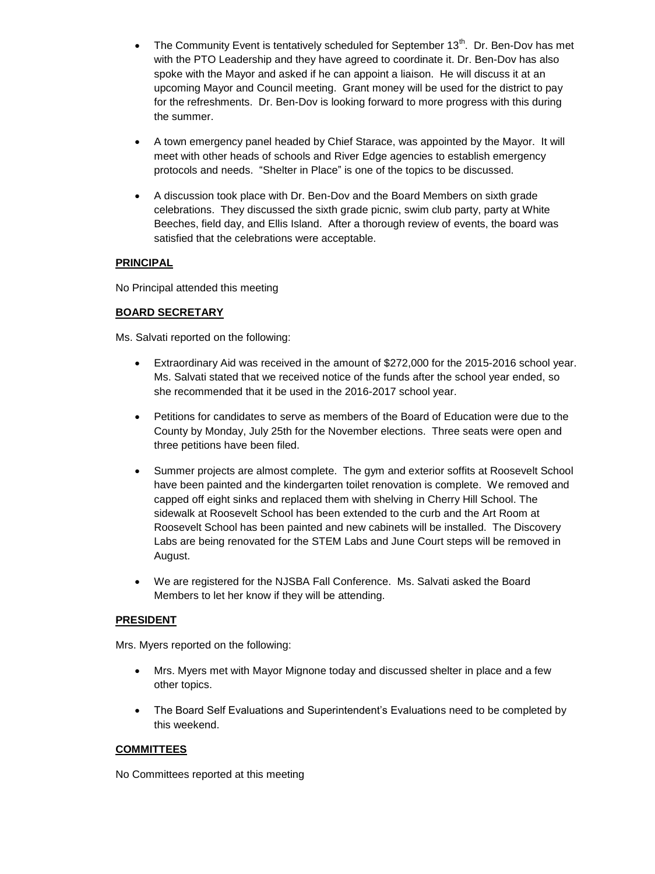- The Community Event is tentatively scheduled for September 13<sup>th</sup>. Dr. Ben-Dov has met with the PTO Leadership and they have agreed to coordinate it. Dr. Ben-Dov has also spoke with the Mayor and asked if he can appoint a liaison. He will discuss it at an upcoming Mayor and Council meeting. Grant money will be used for the district to pay for the refreshments. Dr. Ben-Dov is looking forward to more progress with this during the summer.
- A town emergency panel headed by Chief Starace, was appointed by the Mayor. It will meet with other heads of schools and River Edge agencies to establish emergency protocols and needs. "Shelter in Place" is one of the topics to be discussed.
- A discussion took place with Dr. Ben-Dov and the Board Members on sixth grade celebrations. They discussed the sixth grade picnic, swim club party, party at White Beeches, field day, and Ellis Island. After a thorough review of events, the board was satisfied that the celebrations were acceptable.

# **PRINCIPAL**

No Principal attended this meeting

# **BOARD SECRETARY**

Ms. Salvati reported on the following:

- Extraordinary Aid was received in the amount of \$272,000 for the 2015-2016 school year. Ms. Salvati stated that we received notice of the funds after the school year ended, so she recommended that it be used in the 2016-2017 school year.
- Petitions for candidates to serve as members of the Board of Education were due to the County by Monday, July 25th for the November elections. Three seats were open and three petitions have been filed.
- Summer projects are almost complete. The gym and exterior soffits at Roosevelt School have been painted and the kindergarten toilet renovation is complete. We removed and capped off eight sinks and replaced them with shelving in Cherry Hill School. The sidewalk at Roosevelt School has been extended to the curb and the Art Room at Roosevelt School has been painted and new cabinets will be installed. The Discovery Labs are being renovated for the STEM Labs and June Court steps will be removed in August.
- We are registered for the NJSBA Fall Conference. Ms. Salvati asked the Board Members to let her know if they will be attending.

# **PRESIDENT**

Mrs. Myers reported on the following:

- Mrs. Myers met with Mayor Mignone today and discussed shelter in place and a few other topics.
- The Board Self Evaluations and Superintendent's Evaluations need to be completed by this weekend.

# **COMMITTEES**

No Committees reported at this meeting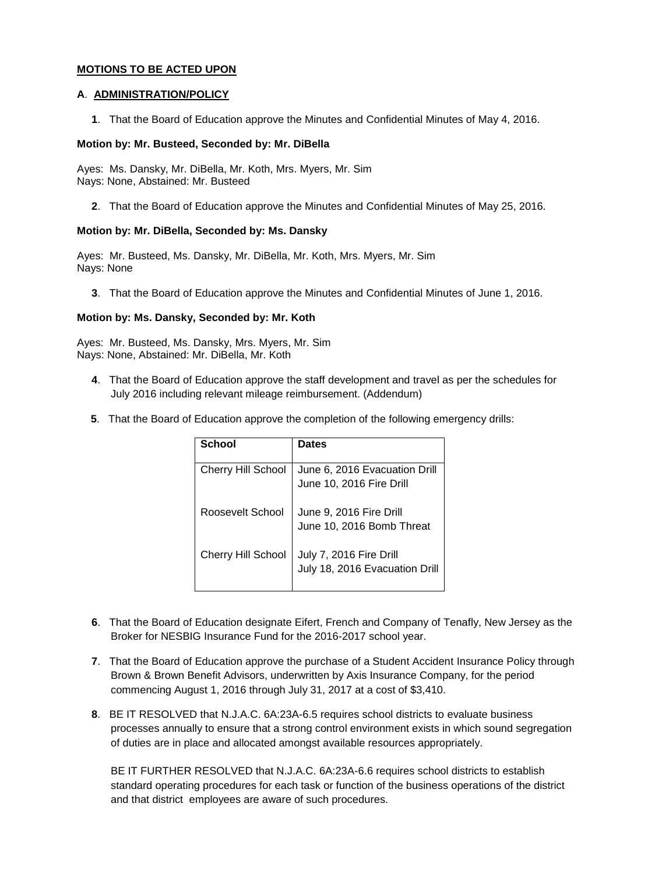# **MOTIONS TO BE ACTED UPON**

## **A**. **ADMINISTRATION/POLICY**

**1**. That the Board of Education approve the Minutes and Confidential Minutes of May 4, 2016.

## **Motion by: Mr. Busteed, Seconded by: Mr. DiBella**

Ayes: Ms. Dansky, Mr. DiBella, Mr. Koth, Mrs. Myers, Mr. Sim Nays: None, Abstained: Mr. Busteed

**2**. That the Board of Education approve the Minutes and Confidential Minutes of May 25, 2016.

# **Motion by: Mr. DiBella, Seconded by: Ms. Dansky**

Ayes: Mr. Busteed, Ms. Dansky, Mr. DiBella, Mr. Koth, Mrs. Myers, Mr. Sim Nays: None

**3**. That the Board of Education approve the Minutes and Confidential Minutes of June 1, 2016.

# **Motion by: Ms. Dansky, Seconded by: Mr. Koth**

Ayes: Mr. Busteed, Ms. Dansky, Mrs. Myers, Mr. Sim Nays: None, Abstained: Mr. DiBella, Mr. Koth

- **4**. That the Board of Education approve the staff development and travel as per the schedules for July 2016 including relevant mileage reimbursement. (Addendum)
- **5**. That the Board of Education approve the completion of the following emergency drills:

| School                    | <b>Dates</b>                   |
|---------------------------|--------------------------------|
|                           |                                |
| <b>Cherry Hill School</b> | June 6, 2016 Evacuation Drill  |
|                           | June 10, 2016 Fire Drill       |
| Roosevelt School          | June 9, 2016 Fire Drill        |
|                           | June 10, 2016 Bomb Threat      |
| Cherry Hill School        | July 7, 2016 Fire Drill        |
|                           | July 18, 2016 Evacuation Drill |

- **6**. That the Board of Education designate Eifert, French and Company of Tenafly, New Jersey as the Broker for NESBIG Insurance Fund for the 2016-2017 school year.
- **7**. That the Board of Education approve the purchase of a Student Accident Insurance Policy through Brown & Brown Benefit Advisors, underwritten by Axis Insurance Company, for the period commencing August 1, 2016 through July 31, 2017 at a cost of \$3,410.
- **8**. BE IT RESOLVED that N.J.A.C. 6A:23A-6.5 requires school districts to evaluate business processes annually to ensure that a strong control environment exists in which sound segregation of duties are in place and allocated amongst available resources appropriately.

BE IT FURTHER RESOLVED that N.J.A.C. 6A:23A-6.6 requires school districts to establish standard operating procedures for each task or function of the business operations of the district and that district employees are aware of such procedures.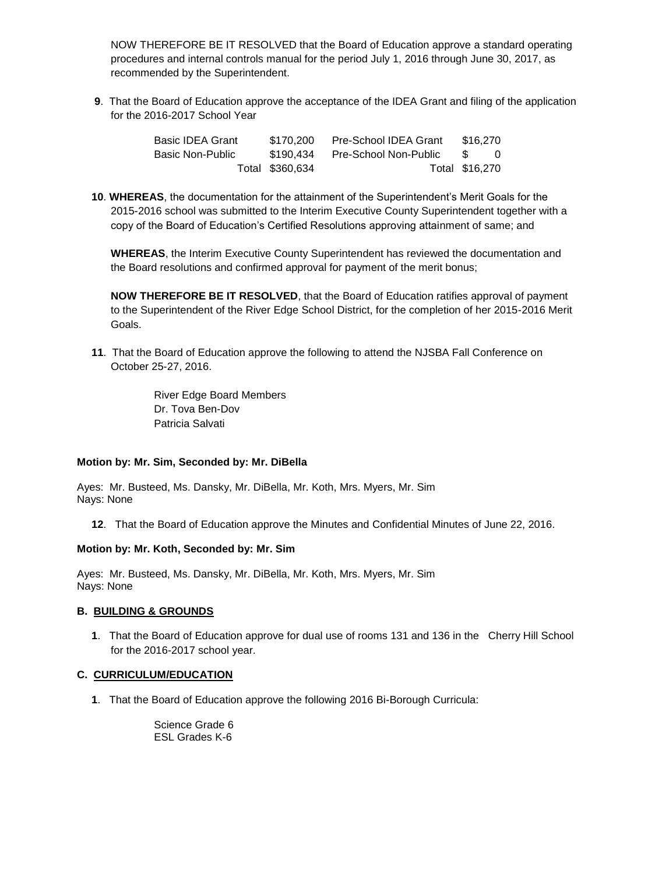NOW THEREFORE BE IT RESOLVED that the Board of Education approve a standard operating procedures and internal controls manual for the period July 1, 2016 through June 30, 2017, as recommended by the Superintendent.

**9**. That the Board of Education approve the acceptance of the IDEA Grant and filing of the application for the 2016-2017 School Year

| <b>Basic IDEA Grant</b> | \$170.200       | Pre-School IDEA Grant | \$16.270       |  |
|-------------------------|-----------------|-----------------------|----------------|--|
| Basic Non-Public        | \$190.434       | Pre-School Non-Public |                |  |
|                         | Total \$360,634 |                       | Total \$16,270 |  |

**10**. **WHEREAS**, the documentation for the attainment of the Superintendent's Merit Goals for the 2015-2016 school was submitted to the Interim Executive County Superintendent together with a copy of the Board of Education's Certified Resolutions approving attainment of same; and

**WHEREAS**, the Interim Executive County Superintendent has reviewed the documentation and the Board resolutions and confirmed approval for payment of the merit bonus;

**NOW THEREFORE BE IT RESOLVED**, that the Board of Education ratifies approval of payment to the Superintendent of the River Edge School District, for the completion of her 2015-2016 Merit Goals.

**11**. That the Board of Education approve the following to attend the NJSBA Fall Conference on October 25-27, 2016.

> River Edge Board Members Dr. Tova Ben-Dov Patricia Salvati

## **Motion by: Mr. Sim, Seconded by: Mr. DiBella**

Ayes: Mr. Busteed, Ms. Dansky, Mr. DiBella, Mr. Koth, Mrs. Myers, Mr. Sim Nays: None

**12**. That the Board of Education approve the Minutes and Confidential Minutes of June 22, 2016.

## **Motion by: Mr. Koth, Seconded by: Mr. Sim**

Ayes: Mr. Busteed, Ms. Dansky, Mr. DiBella, Mr. Koth, Mrs. Myers, Mr. Sim Nays: None

## **B. BUILDING & GROUNDS**

**1**. That the Board of Education approve for dual use of rooms 131 and 136 in the Cherry Hill School for the 2016-2017 school year.

## **C. CURRICULUM/EDUCATION**

**1**. That the Board of Education approve the following 2016 Bi-Borough Curricula:

Science Grade 6 ESL Grades K-6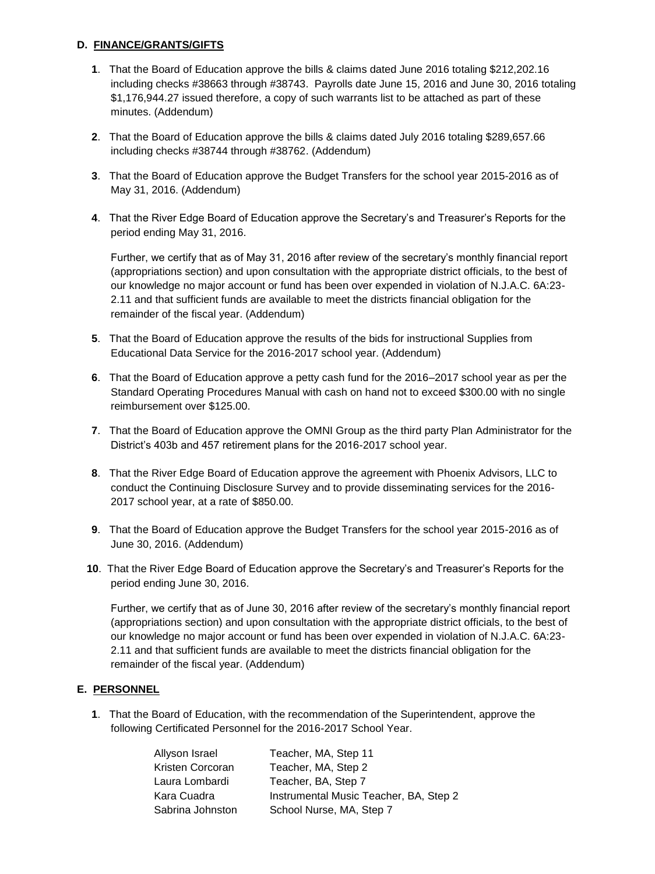# **D. FINANCE/GRANTS/GIFTS**

- **1**. That the Board of Education approve the bills & claims dated June 2016 totaling \$212,202.16 including checks #38663 through #38743. Payrolls date June 15, 2016 and June 30, 2016 totaling \$1,176,944.27 issued therefore, a copy of such warrants list to be attached as part of these minutes. (Addendum)
- **2**. That the Board of Education approve the bills & claims dated July 2016 totaling \$289,657.66 including checks #38744 through #38762. (Addendum)
- **3**. That the Board of Education approve the Budget Transfers for the school year 2015-2016 as of May 31, 2016. (Addendum)
- **4**. That the River Edge Board of Education approve the Secretary's and Treasurer's Reports for the period ending May 31, 2016.

Further, we certify that as of May 31, 2016 after review of the secretary's monthly financial report (appropriations section) and upon consultation with the appropriate district officials, to the best of our knowledge no major account or fund has been over expended in violation of N.J.A.C. 6A:23- 2.11 and that sufficient funds are available to meet the districts financial obligation for the remainder of the fiscal year. (Addendum)

- **5**. That the Board of Education approve the results of the bids for instructional Supplies from Educational Data Service for the 2016-2017 school year. (Addendum)
- **6**. That the Board of Education approve a petty cash fund for the 2016–2017 school year as per the Standard Operating Procedures Manual with cash on hand not to exceed \$300.00 with no single reimbursement over \$125.00.
- **7**. That the Board of Education approve the OMNI Group as the third party Plan Administrator for the District's 403b and 457 retirement plans for the 2016-2017 school year.
- **8**. That the River Edge Board of Education approve the agreement with Phoenix Advisors, LLC to conduct the Continuing Disclosure Survey and to provide disseminating services for the 2016- 2017 school year, at a rate of \$850.00.
- **9**. That the Board of Education approve the Budget Transfers for the school year 2015-2016 as of June 30, 2016. (Addendum)
- **10**. That the River Edge Board of Education approve the Secretary's and Treasurer's Reports for the period ending June 30, 2016.

Further, we certify that as of June 30, 2016 after review of the secretary's monthly financial report (appropriations section) and upon consultation with the appropriate district officials, to the best of our knowledge no major account or fund has been over expended in violation of N.J.A.C. 6A:23- 2.11 and that sufficient funds are available to meet the districts financial obligation for the remainder of the fiscal year. (Addendum)

# **E. PERSONNEL**

**1**. That the Board of Education, with the recommendation of the Superintendent, approve the following Certificated Personnel for the 2016-2017 School Year.

| Allyson Israel   | Teacher, MA, Step 11                   |
|------------------|----------------------------------------|
| Kristen Corcoran | Teacher, MA, Step 2                    |
| Laura Lombardi   | Teacher, BA, Step 7                    |
| Kara Cuadra      | Instrumental Music Teacher, BA, Step 2 |
| Sabrina Johnston | School Nurse, MA, Step 7               |
|                  |                                        |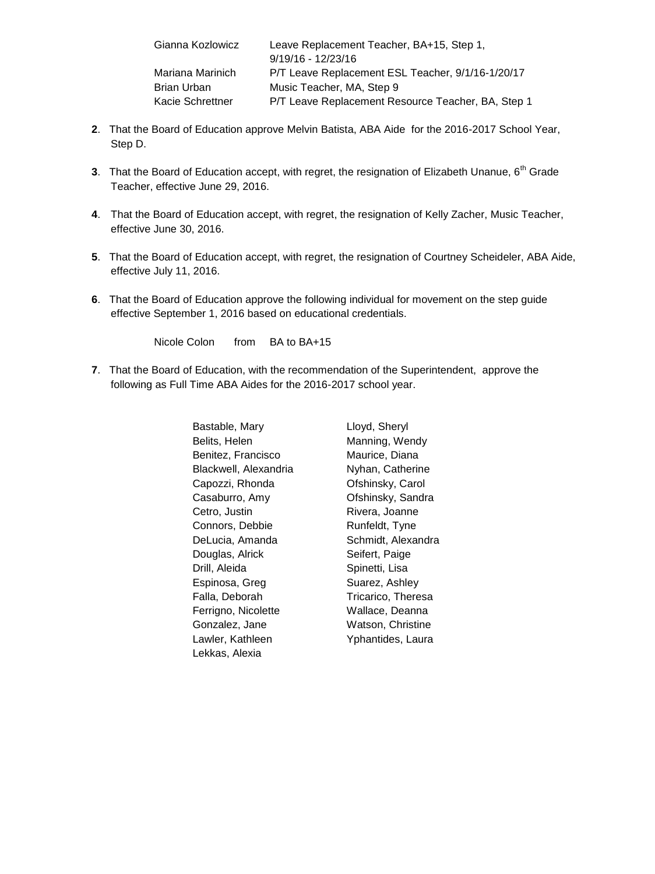| Gianna Kozlowicz | Leave Replacement Teacher, BA+15, Step 1,          |
|------------------|----------------------------------------------------|
|                  | $9/19/16 - 12/23/16$                               |
| Mariana Marinich | P/T Leave Replacement ESL Teacher, 9/1/16-1/20/17  |
| Brian Urban      | Music Teacher, MA, Step 9                          |
| Kacie Schrettner | P/T Leave Replacement Resource Teacher, BA, Step 1 |

- **2**. That the Board of Education approve Melvin Batista, ABA Aide for the 2016-2017 School Year, Step D.
- **3.** That the Board of Education accept, with regret, the resignation of Elizabeth Unanue, 6<sup>th</sup> Grade Teacher, effective June 29, 2016.
- **4**. That the Board of Education accept, with regret, the resignation of Kelly Zacher, Music Teacher, effective June 30, 2016.
- **5**. That the Board of Education accept, with regret, the resignation of Courtney Scheideler, ABA Aide, effective July 11, 2016.
- **6**. That the Board of Education approve the following individual for movement on the step guide effective September 1, 2016 based on educational credentials.

Nicole Colon from BA to BA+15

**7**. That the Board of Education, with the recommendation of the Superintendent, approve the following as Full Time ABA Aides for the 2016-2017 school year.

> Bastable, Mary Belits, Helen Benitez, Francisco Blackwell, Alexandria Capozzi, Rhonda Casaburro, Amy Cetro, Justin Connors, Debbie DeLucia, Amanda Douglas, Alrick Drill, Aleida Espinosa, Greg Falla, Deborah Ferrigno, Nicolette Gonzalez, Jane Lawler, Kathleen Lekkas, Alexia

Lloyd, Sheryl Manning, Wendy Maurice, Diana Nyhan, Catherine Ofshinsky, Carol Ofshinsky, Sandra Rivera, Joanne Runfeldt, Tyne Schmidt, Alexandra Seifert, Paige Spinetti, Lisa Suarez, Ashley Tricarico, Theresa Wallace, Deanna Watson, Christine Yphantides, Laura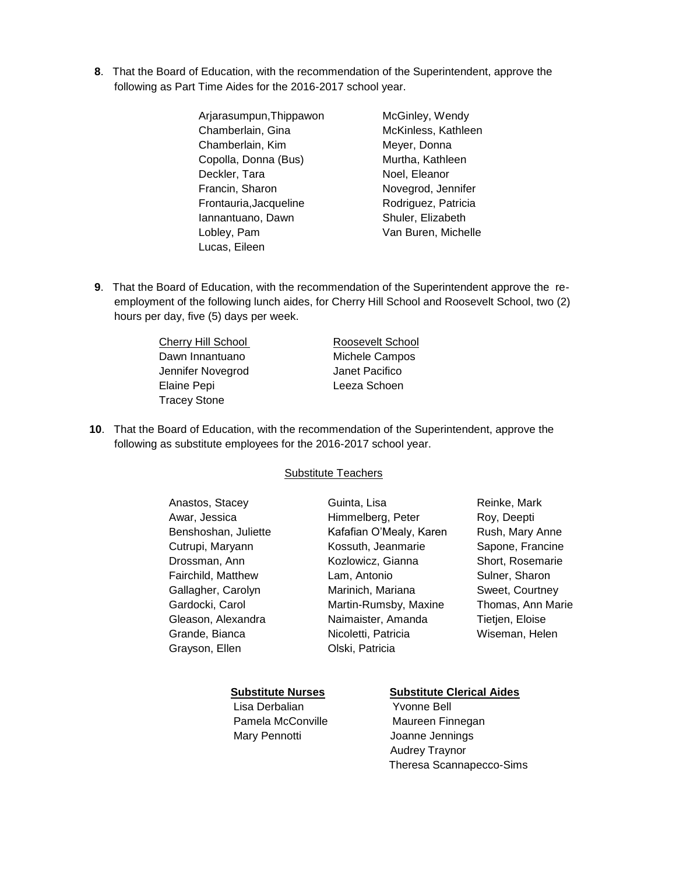- **8**. That the Board of Education, with the recommendation of the Superintendent, approve the following as Part Time Aides for the 2016-2017 school year.
	- Arjarasumpun,Thippawon Chamberlain, Gina Chamberlain, Kim Copolla, Donna (Bus) Deckler, Tara Francin, Sharon Frontauria,Jacqueline Iannantuano, Dawn Lobley, Pam Lucas, Eileen
- McGinley, Wendy McKinless, Kathleen Meyer, Donna Murtha, Kathleen Noel, Eleanor Novegrod, Jennifer Rodriguez, Patricia Shuler, Elizabeth Van Buren, Michelle
- **9**. That the Board of Education, with the recommendation of the Superintendent approve the reemployment of the following lunch aides, for Cherry Hill School and Roosevelt School, two (2) hours per day, five (5) days per week.

Cherry Hill School Roosevelt School Dawn Innantuano Michele Campos Jennifer Novegrod Janet Pacifico Elaine Pepi **Leeza Schoen** Tracey Stone

**10**. That the Board of Education, with the recommendation of the Superintendent, approve the following as substitute employees for the 2016-2017 school year.

**Substitute Teachers** 

| Roy, Deepti       |
|-------------------|
|                   |
| Rush, Mary Anne   |
| Sapone, Francine  |
| Short, Rosemarie  |
| Sulner, Sharon    |
| Sweet, Courtney   |
| Thomas, Ann Marie |
| Tietjen, Eloise   |
| Wiseman, Helen    |
|                   |
|                   |

Lisa Derbalian Yvonne Bell Mary Pennotti Joanne Jennings

# **Substitute Nurses Substitute Clerical Aides**

Pamela McConville Maureen Finnegan Audrey Traynor Theresa Scannapecco-Sims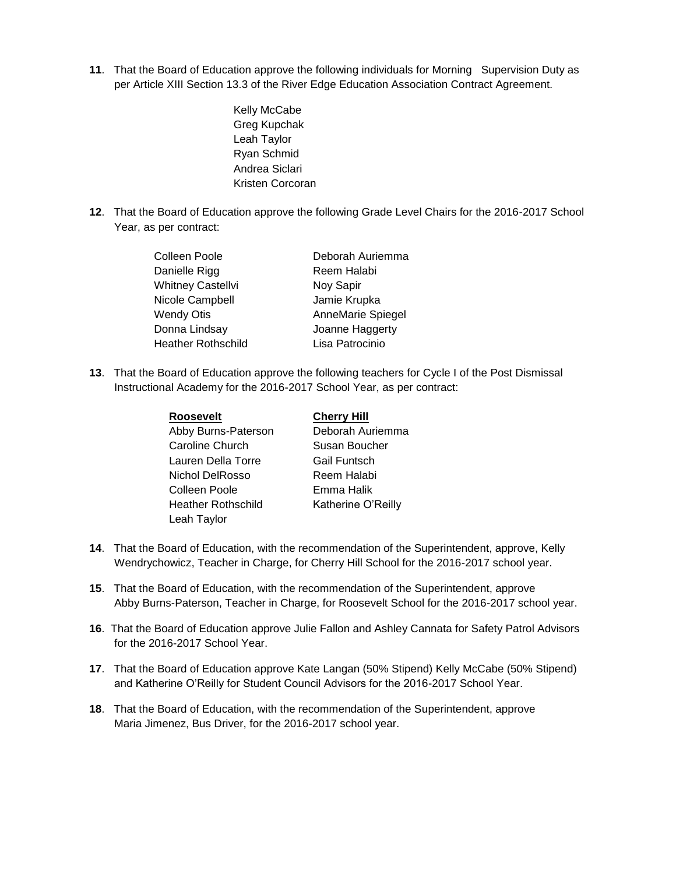- **11**. That the Board of Education approve the following individuals for Morning Supervision Duty as per Article XIII Section 13.3 of the River Edge Education Association Contract Agreement.
	- Kelly McCabe Greg Kupchak Leah Taylor Ryan Schmid Andrea Siclari Kristen Corcoran
- **12**. That the Board of Education approve the following Grade Level Chairs for the 2016-2017 School Year, as per contract:

| Colleen Poole             | Deborah Auriemma  |
|---------------------------|-------------------|
| Danielle Rigg             | Reem Halabi       |
| <b>Whitney Castellvi</b>  | Noy Sapir         |
| Nicole Campbell           | Jamie Krupka      |
| <b>Wendy Otis</b>         | AnneMarie Spiegel |
| Donna Lindsay             | Joanne Haggerty   |
| <b>Heather Rothschild</b> | Lisa Patrocinio   |

**13**. That the Board of Education approve the following teachers for Cycle I of the Post Dismissal Instructional Academy for the 2016-2017 School Year, as per contract:

| <b>Roosevelt</b>          | <b>Cherry Hill</b>  |
|---------------------------|---------------------|
| Abby Burns-Paterson       | Deborah Auriemma    |
| Caroline Church           | Susan Boucher       |
| Lauren Della Torre        | <b>Gail Funtsch</b> |
| Nichol DelRosso           | Reem Halabi         |
| Colleen Poole             | Emma Halik          |
| <b>Heather Rothschild</b> | Katherine O'Reilly  |
| Leah Taylor               |                     |

- **14**. That the Board of Education, with the recommendation of the Superintendent, approve, Kelly Wendrychowicz, Teacher in Charge, for Cherry Hill School for the 2016-2017 school year.
- **15**. That the Board of Education, with the recommendation of the Superintendent, approve Abby Burns-Paterson, Teacher in Charge, for Roosevelt School for the 2016-2017 school year.
- **16**. That the Board of Education approve Julie Fallon and Ashley Cannata for Safety Patrol Advisors for the 2016-2017 School Year.
- **17**. That the Board of Education approve Kate Langan (50% Stipend) Kelly McCabe (50% Stipend) and Katherine O'Reilly for Student Council Advisors for the 2016-2017 School Year.
- **18**. That the Board of Education, with the recommendation of the Superintendent, approve Maria Jimenez, Bus Driver, for the 2016-2017 school year.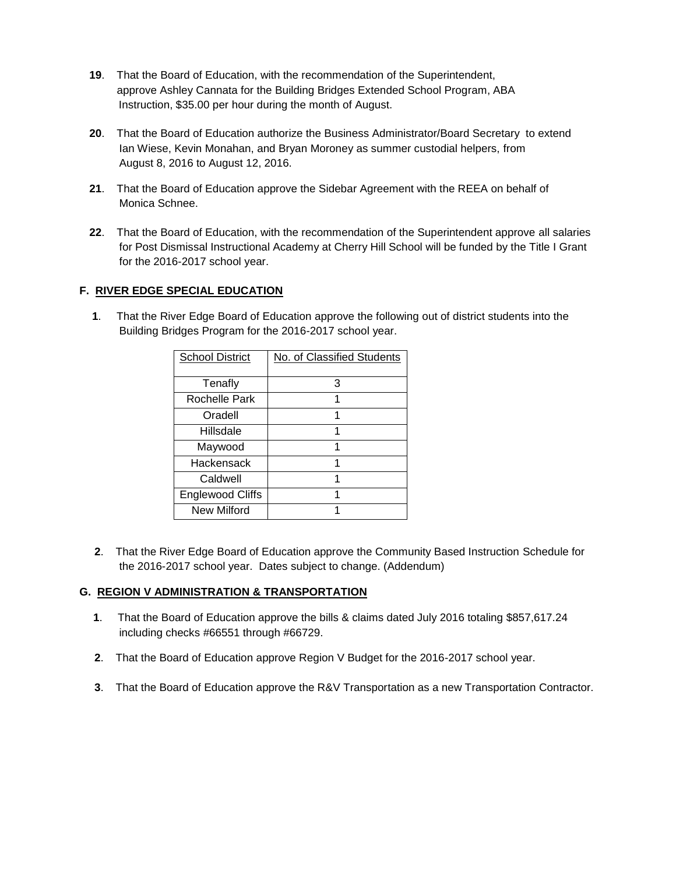- **19**. That the Board of Education, with the recommendation of the Superintendent, approve Ashley Cannata for the Building Bridges Extended School Program, ABA Instruction, \$35.00 per hour during the month of August.
- **20**. That the Board of Education authorize the Business Administrator/Board Secretary to extend Ian Wiese, Kevin Monahan, and Bryan Moroney as summer custodial helpers, from August 8, 2016 to August 12, 2016.
- **21**. That the Board of Education approve the Sidebar Agreement with the REEA on behalf of Monica Schnee.
- **22**. That the Board of Education, with the recommendation of the Superintendent approve all salaries for Post Dismissal Instructional Academy at Cherry Hill School will be funded by the Title I Grant for the 2016-2017 school year.

# **F. RIVER EDGE SPECIAL EDUCATION**

 **1**. That the River Edge Board of Education approve the following out of district students into the Building Bridges Program for the 2016-2017 school year.

| <b>School District</b>  | No. of Classified Students |
|-------------------------|----------------------------|
|                         |                            |
| Tenafly                 | 3                          |
| Rochelle Park           |                            |
| Oradell                 | 1                          |
| Hillsdale               |                            |
| Maywood                 | 1                          |
| Hackensack              |                            |
| Caldwell                | 1                          |
| <b>Englewood Cliffs</b> |                            |
| New Milford             |                            |

**2**. That the River Edge Board of Education approve the Community Based Instruction Schedule for the 2016-2017 school year. Dates subject to change. (Addendum)

# **G. REGION V ADMINISTRATION & TRANSPORTATION**

- **1**. That the Board of Education approve the bills & claims dated July 2016 totaling \$857,617.24 including checks #66551 through #66729.
- **2**. That the Board of Education approve Region V Budget for the 2016-2017 school year.
- **3**. That the Board of Education approve the R&V Transportation as a new Transportation Contractor.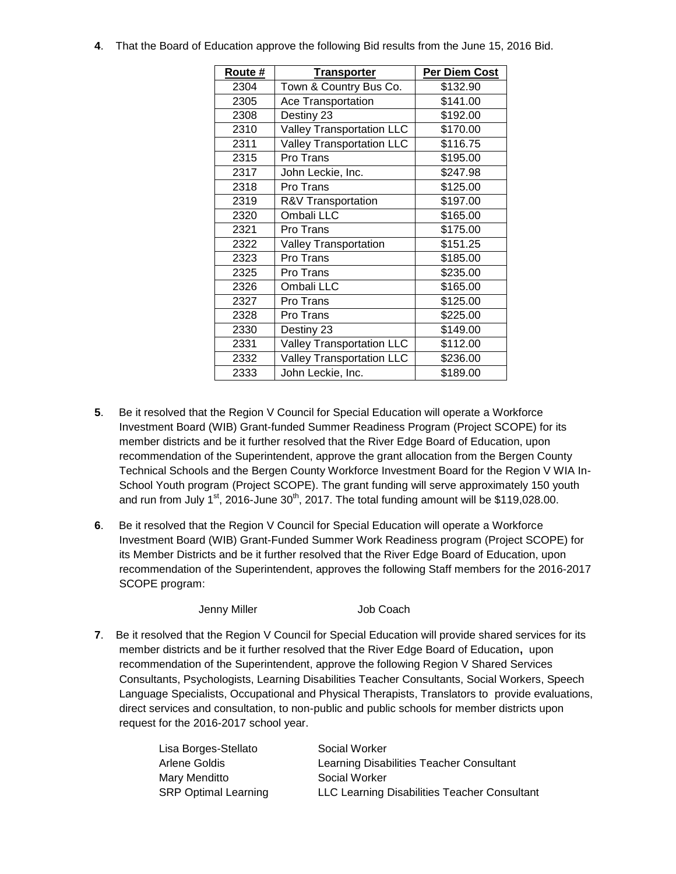**4**. That the Board of Education approve the following Bid results from the June 15, 2016 Bid.

| Route # | <b>Transporter</b>               | <b>Per Diem Cost</b> |
|---------|----------------------------------|----------------------|
| 2304    | Town & Country Bus Co.           | \$132.90             |
| 2305    | Ace Transportation               | \$141.00             |
| 2308    | Destiny 23                       | \$192.00             |
| 2310    | <b>Valley Transportation LLC</b> | \$170.00             |
| 2311    | <b>Valley Transportation LLC</b> | \$116.75             |
| 2315    | Pro Trans                        | \$195.00             |
| 2317    | John Leckie, Inc.                | \$247.98             |
| 2318    | Pro Trans                        | \$125.00             |
| 2319    | R&V Transportation               | \$197.00             |
| 2320    | Ombali LLC                       | \$165.00             |
| 2321    | Pro Trans                        | \$175.00             |
| 2322    | <b>Valley Transportation</b>     | \$151.25             |
| 2323    | Pro Trans                        | \$185.00             |
| 2325    | Pro Trans                        | \$235.00             |
| 2326    | Ombali LLC                       | \$165.00             |
| 2327    | Pro Trans                        | \$125.00             |
| 2328    | Pro Trans                        | \$225.00             |
| 2330    | Destiny 23                       | \$149.00             |
| 2331    | <b>Valley Transportation LLC</b> | \$112.00             |
| 2332    | <b>Valley Transportation LLC</b> | \$236.00             |
| 2333    | John Leckie, Inc.                | \$189.00             |

- **5**. Be it resolved that the Region V Council for Special Education will operate a Workforce Investment Board (WIB) Grant-funded Summer Readiness Program (Project SCOPE) for its member districts and be it further resolved that the River Edge Board of Education, upon recommendation of the Superintendent, approve the grant allocation from the Bergen County Technical Schools and the Bergen County Workforce Investment Board for the Region V WIA In-School Youth program (Project SCOPE). The grant funding will serve approximately 150 youth and run from July  $1^{st}$ , 2016-June  $30^{th}$ , 2017. The total funding amount will be \$119,028.00.
- **6**. Be it resolved that the Region V Council for Special Education will operate a Workforce Investment Board (WIB) Grant-Funded Summer Work Readiness program (Project SCOPE) for its Member Districts and be it further resolved that the River Edge Board of Education, upon recommendation of the Superintendent, approves the following Staff members for the 2016-2017 SCOPE program:

Jenny Miller **Job Coach** 

**7**. Be it resolved that the Region V Council for Special Education will provide shared services for its member districts and be it further resolved that the River Edge Board of Education**,** upon recommendation of the Superintendent, approve the following Region V Shared Services Consultants, Psychologists, Learning Disabilities Teacher Consultants, Social Workers, Speech Language Specialists, Occupational and Physical Therapists, Translators to provide evaluations, direct services and consultation, to non-public and public schools for member districts upon request for the 2016-2017 school year.

| Lisa Borges-Stellato        | Social Worker                                |
|-----------------------------|----------------------------------------------|
| Arlene Goldis               | Learning Disabilities Teacher Consultant     |
| Mary Menditto               | Social Worker                                |
| <b>SRP Optimal Learning</b> | LLC Learning Disabilities Teacher Consultant |